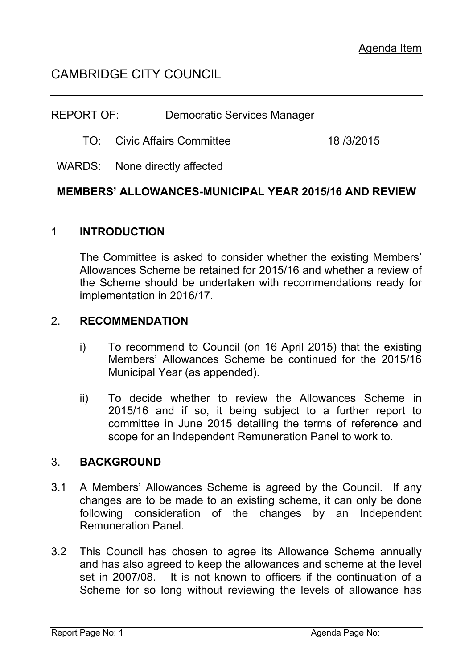# CAMBRIDGE CITY COUNCIL

| <b>REPORT OF:</b> | <b>Democratic Services Manager</b> |  |
|-------------------|------------------------------------|--|
|                   |                                    |  |

- TO: Civic Affairs Committee 18 /3/2015
- WARDS: None directly affected

# **MEMBERS' ALLOWANCES-MUNICIPAL YEAR 2015/16 AND REVIEW**

#### 1 **INTRODUCTION**

The Committee is asked to consider whether the existing Members' Allowances Scheme be retained for 2015/16 and whether a review of the Scheme should be undertaken with recommendations ready for implementation in 2016/17.

#### 2. **RECOMMENDATION**

- i) To recommend to Council (on 16 April 2015) that the existing Members' Allowances Scheme be continued for the 2015/16 Municipal Year (as appended).
- ii) To decide whether to review the Allowances Scheme in 2015/16 and if so, it being subject to a further report to committee in June 2015 detailing the terms of reference and scope for an Independent Remuneration Panel to work to.

# 3. **BACKGROUND**

- 3.1 A Members' Allowances Scheme is agreed by the Council. If any changes are to be made to an existing scheme, it can only be done following consideration of the changes by an Independent Remuneration Panel.
- 3.2 This Council has chosen to agree its Allowance Scheme annually and has also agreed to keep the allowances and scheme at the level set in 2007/08. It is not known to officers if the continuation of a Scheme for so long without reviewing the levels of allowance has